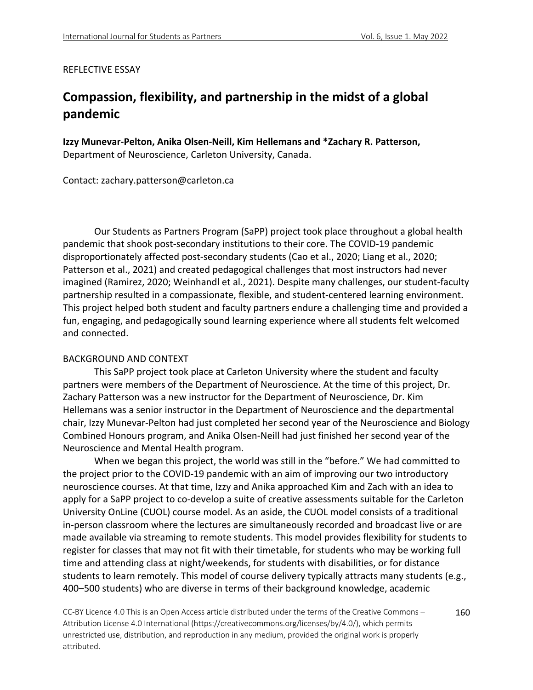#### REFLECTIVE ESSAY

# **Compassion, flexibility, and partnership in the midst of a global pandemic**

**Izzy Munevar-Pelton, Anika Olsen-Neill, Kim Hellemans and \*Zachary R. Patterson,**  Department of Neuroscience, Carleton University, Canada.

Contact: zachary.patterson@carleton.ca

Our Students as Partners Program (SaPP) project took place throughout a global health pandemic that shook post-secondary institutions to their core. The COVID-19 pandemic disproportionately affected post-secondary students (Cao et al., 2020; Liang et al., 2020; Patterson et al., 2021) and created pedagogical challenges that most instructors had never imagined (Ramirez, 2020; Weinhandl et al., 2021). Despite many challenges, our student-faculty partnership resulted in a compassionate, flexible, and student-centered learning environment. This project helped both student and faculty partners endure a challenging time and provided a fun, engaging, and pedagogically sound learning experience where all students felt welcomed and connected.

#### BACKGROUND AND CONTEXT

This SaPP project took place at Carleton University where the student and faculty partners were members of the Department of Neuroscience. At the time of this project, Dr. Zachary Patterson was a new instructor for the Department of Neuroscience, Dr. Kim Hellemans was a senior instructor in the Department of Neuroscience and the departmental chair, Izzy Munevar-Pelton had just completed her second year of the Neuroscience and Biology Combined Honours program, and Anika Olsen-Neill had just finished her second year of the Neuroscience and Mental Health program.

When we began this project, the world was still in the "before." We had committed to the project prior to the COVID-19 pandemic with an aim of improving our two introductory neuroscience courses. At that time, Izzy and Anika approached Kim and Zach with an idea to apply for a SaPP project to co-develop a suite of creative assessments suitable for the Carleton University OnLine (CUOL) course model. As an aside, the CUOL model consists of a traditional in-person classroom where the lectures are simultaneously recorded and broadcast live or are made available via streaming to remote students. This model provides flexibility for students to register for classes that may not fit with their timetable, for students who may be working full time and attending class at night/weekends, for students with disabilities, or for distance students to learn remotely. This model of course delivery typically attracts many students (e.g., 400–500 students) who are diverse in terms of their background knowledge, academic

CC-BY Licence 4.0 This is an Open Access article distributed under the terms of the Creative Commons – Attribution License 4.0 International (https://creativecommons.org/licenses/by/4.0/), which permits unrestricted use, distribution, and reproduction in any medium, provided the original work is properly attributed. 160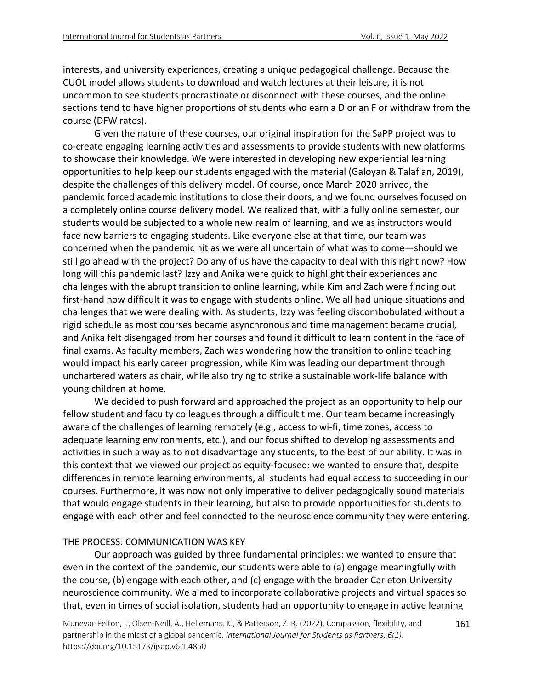interests, and university experiences, creating a unique pedagogical challenge. Because the CUOL model allows students to download and watch lectures at their leisure, it is not uncommon to see students procrastinate or disconnect with these courses, and the online sections tend to have higher proportions of students who earn a D or an F or withdraw from the course (DFW rates).

Given the nature of these courses, our original inspiration for the SaPP project was to co-create engaging learning activities and assessments to provide students with new platforms to showcase their knowledge. We were interested in developing new experiential learning opportunities to help keep our students engaged with the material (Galoyan & Talafian, 2019), despite the challenges of this delivery model. Of course, once March 2020 arrived, the pandemic forced academic institutions to close their doors, and we found ourselves focused on a completely online course delivery model. We realized that, with a fully online semester, our students would be subjected to a whole new realm of learning, and we as instructors would face new barriers to engaging students. Like everyone else at that time, our team was concerned when the pandemic hit as we were all uncertain of what was to come*—*should we still go ahead with the project? Do any of us have the capacity to deal with this right now? How long will this pandemic last? Izzy and Anika were quick to highlight their experiences and challenges with the abrupt transition to online learning, while Kim and Zach were finding out first-hand how difficult it was to engage with students online. We all had unique situations and challenges that we were dealing with. As students, Izzy was feeling discombobulated without a rigid schedule as most courses became asynchronous and time management became crucial, and Anika felt disengaged from her courses and found it difficult to learn content in the face of final exams. As faculty members, Zach was wondering how the transition to online teaching would impact his early career progression, while Kim was leading our department through unchartered waters as chair, while also trying to strike a sustainable work-life balance with young children at home.

We decided to push forward and approached the project as an opportunity to help our fellow student and faculty colleagues through a difficult time. Our team became increasingly aware of the challenges of learning remotely (e.g., access to wi-fi, time zones, access to adequate learning environments, etc.), and our focus shifted to developing assessments and activities in such a way as to not disadvantage any students, to the best of our ability. It was in this context that we viewed our project as equity-focused: we wanted to ensure that, despite differences in remote learning environments, all students had equal access to succeeding in our courses. Furthermore, it was now not only imperative to deliver pedagogically sound materials that would engage students in their learning, but also to provide opportunities for students to engage with each other and feel connected to the neuroscience community they were entering.

## THE PROCESS: COMMUNICATION WAS KEY

Our approach was guided by three fundamental principles: we wanted to ensure that even in the context of the pandemic, our students were able to (a) engage meaningfully with the course, (b) engage with each other, and (c) engage with the broader Carleton University neuroscience community. We aimed to incorporate collaborative projects and virtual spaces so that, even in times of social isolation, students had an opportunity to engage in active learning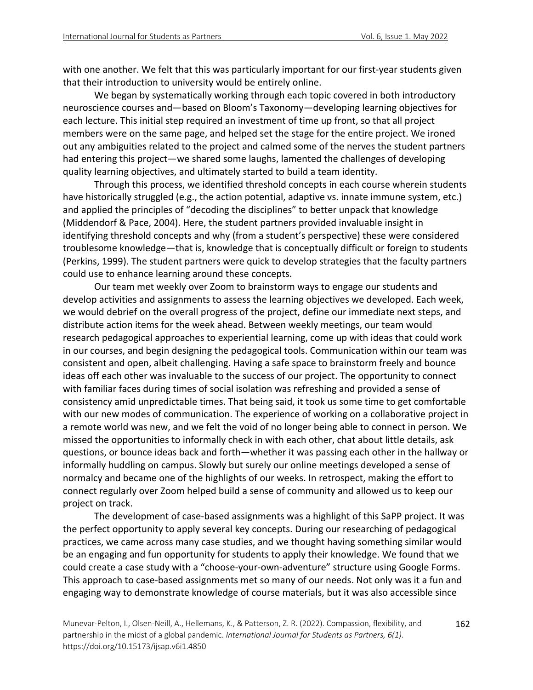with one another. We felt that this was particularly important for our first-year students given that their introduction to university would be entirely online.

We began by systematically working through each topic covered in both introductory neuroscience courses and—based on Bloom's Taxonomy—developing learning objectives for each lecture. This initial step required an investment of time up front, so that all project members were on the same page, and helped set the stage for the entire project. We ironed out any ambiguities related to the project and calmed some of the nerves the student partners had entering this project—we shared some laughs, lamented the challenges of developing quality learning objectives, and ultimately started to build a team identity.

Through this process, we identified threshold concepts in each course wherein students have historically struggled (e.g., the action potential, adaptive vs. innate immune system, etc.) and applied the principles of "decoding the disciplines" to better unpack that knowledge (Middendorf & Pace, 2004). Here, the student partners provided invaluable insight in identifying threshold concepts and why (from a student's perspective) these were considered troublesome knowledge—that is, knowledge that is conceptually difficult or foreign to students (Perkins, 1999). The student partners were quick to develop strategies that the faculty partners could use to enhance learning around these concepts.

Our team met weekly over Zoom to brainstorm ways to engage our students and develop activities and assignments to assess the learning objectives we developed. Each week, we would debrief on the overall progress of the project, define our immediate next steps, and distribute action items for the week ahead. Between weekly meetings, our team would research pedagogical approaches to experiential learning, come up with ideas that could work in our courses, and begin designing the pedagogical tools. Communication within our team was consistent and open, albeit challenging. Having a safe space to brainstorm freely and bounce ideas off each other was invaluable to the success of our project. The opportunity to connect with familiar faces during times of social isolation was refreshing and provided a sense of consistency amid unpredictable times. That being said, it took us some time to get comfortable with our new modes of communication. The experience of working on a collaborative project in a remote world was new, and we felt the void of no longer being able to connect in person. We missed the opportunities to informally check in with each other, chat about little details, ask questions, or bounce ideas back and forth—whether it was passing each other in the hallway or informally huddling on campus. Slowly but surely our online meetings developed a sense of normalcy and became one of the highlights of our weeks. In retrospect, making the effort to connect regularly over Zoom helped build a sense of community and allowed us to keep our project on track.

The development of case-based assignments was a highlight of this SaPP project. It was the perfect opportunity to apply several key concepts. During our researching of pedagogical practices, we came across many case studies, and we thought having something similar would be an engaging and fun opportunity for students to apply their knowledge. We found that we could create a case study with a "choose-your-own-adventure" structure using Google Forms. This approach to case-based assignments met so many of our needs. Not only was it a fun and engaging way to demonstrate knowledge of course materials, but it was also accessible since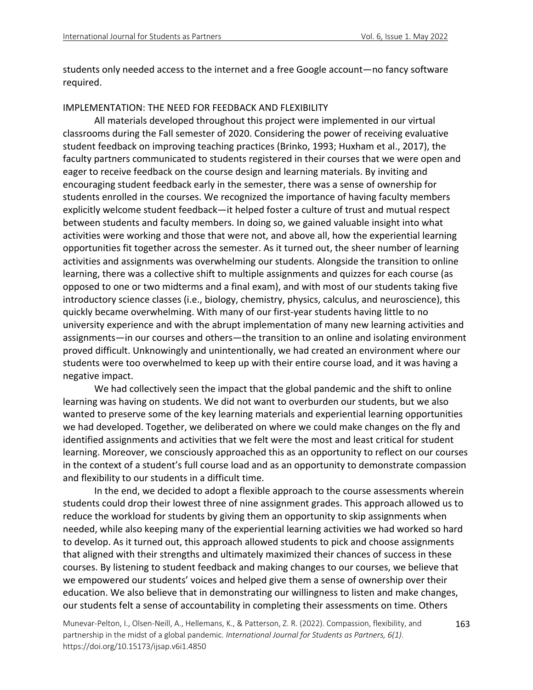students only needed access to the internet and a free Google account—no fancy software required.

## IMPLEMENTATION: THE NEED FOR FEEDBACK AND FLEXIBILITY

All materials developed throughout this project were implemented in our virtual classrooms during the Fall semester of 2020. Considering the power of receiving evaluative student feedback on improving teaching practices (Brinko, 1993; Huxham et al., 2017), the faculty partners communicated to students registered in their courses that we were open and eager to receive feedback on the course design and learning materials. By inviting and encouraging student feedback early in the semester, there was a sense of ownership for students enrolled in the courses. We recognized the importance of having faculty members explicitly welcome student feedback—it helped foster a culture of trust and mutual respect between students and faculty members. In doing so, we gained valuable insight into what activities were working and those that were not, and above all, how the experiential learning opportunities fit together across the semester. As it turned out, the sheer number of learning activities and assignments was overwhelming our students. Alongside the transition to online learning, there was a collective shift to multiple assignments and quizzes for each course (as opposed to one or two midterms and a final exam), and with most of our students taking five introductory science classes (i.e., biology, chemistry, physics, calculus, and neuroscience), this quickly became overwhelming. With many of our first-year students having little to no university experience and with the abrupt implementation of many new learning activities and assignments—in our courses and others—the transition to an online and isolating environment proved difficult. Unknowingly and unintentionally, we had created an environment where our students were too overwhelmed to keep up with their entire course load, and it was having a negative impact.

We had collectively seen the impact that the global pandemic and the shift to online learning was having on students. We did not want to overburden our students, but we also wanted to preserve some of the key learning materials and experiential learning opportunities we had developed. Together, we deliberated on where we could make changes on the fly and identified assignments and activities that we felt were the most and least critical for student learning. Moreover, we consciously approached this as an opportunity to reflect on our courses in the context of a student's full course load and as an opportunity to demonstrate compassion and flexibility to our students in a difficult time.

In the end, we decided to adopt a flexible approach to the course assessments wherein students could drop their lowest three of nine assignment grades. This approach allowed us to reduce the workload for students by giving them an opportunity to skip assignments when needed, while also keeping many of the experiential learning activities we had worked so hard to develop. As it turned out, this approach allowed students to pick and choose assignments that aligned with their strengths and ultimately maximized their chances of success in these courses. By listening to student feedback and making changes to our courses, we believe that we empowered our students' voices and helped give them a sense of ownership over their education. We also believe that in demonstrating our willingness to listen and make changes, our students felt a sense of accountability in completing their assessments on time. Others

Munevar-Pelton, I., Olsen-Neill, A., Hellemans, K., & Patterson, Z. R. (2022). Compassion, flexibility, and partnership in the midst of a global pandemic. *International Journal for Students as Partners, 6(1)*. https://doi.org/10.15173/ijsap.v6i1.4850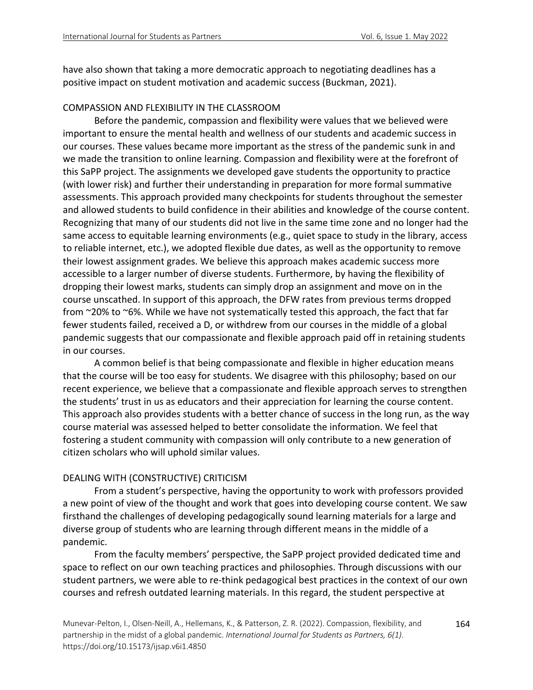have also shown that taking a more democratic approach to negotiating deadlines has a positive impact on student motivation and academic success (Buckman, 2021).

## COMPASSION AND FLEXIBILITY IN THE CLASSROOM

Before the pandemic, compassion and flexibility were values that we believed were important to ensure the mental health and wellness of our students and academic success in our courses. These values became more important as the stress of the pandemic sunk in and we made the transition to online learning. Compassion and flexibility were at the forefront of this SaPP project. The assignments we developed gave students the opportunity to practice (with lower risk) and further their understanding in preparation for more formal summative assessments. This approach provided many checkpoints for students throughout the semester and allowed students to build confidence in their abilities and knowledge of the course content. Recognizing that many of our students did not live in the same time zone and no longer had the same access to equitable learning environments (e.g., quiet space to study in the library, access to reliable internet, etc.), we adopted flexible due dates, as well as the opportunity to remove their lowest assignment grades. We believe this approach makes academic success more accessible to a larger number of diverse students. Furthermore, by having the flexibility of dropping their lowest marks, students can simply drop an assignment and move on in the course unscathed. In support of this approach, the DFW rates from previous terms dropped from ~20% to ~6%. While we have not systematically tested this approach, the fact that far fewer students failed, received a D, or withdrew from our courses in the middle of a global pandemic suggests that our compassionate and flexible approach paid off in retaining students in our courses.

A common belief is that being compassionate and flexible in higher education means that the course will be too easy for students. We disagree with this philosophy; based on our recent experience, we believe that a compassionate and flexible approach serves to strengthen the students' trust in us as educators and their appreciation for learning the course content. This approach also provides students with a better chance of success in the long run, as the way course material was assessed helped to better consolidate the information. We feel that fostering a student community with compassion will only contribute to a new generation of citizen scholars who will uphold similar values.

## DEALING WITH (CONSTRUCTIVE) CRITICISM

From a student's perspective, having the opportunity to work with professors provided a new point of view of the thought and work that goes into developing course content. We saw firsthand the challenges of developing pedagogically sound learning materials for a large and diverse group of students who are learning through different means in the middle of a pandemic.

From the faculty members' perspective, the SaPP project provided dedicated time and space to reflect on our own teaching practices and philosophies. Through discussions with our student partners, we were able to re-think pedagogical best practices in the context of our own courses and refresh outdated learning materials. In this regard, the student perspective at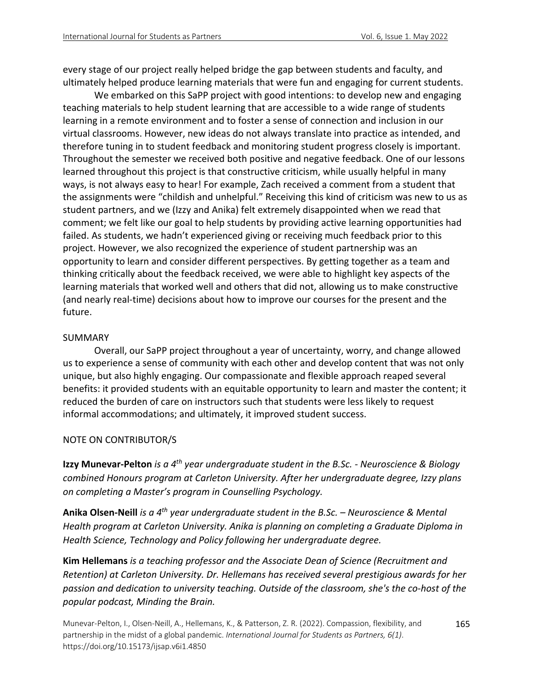every stage of our project really helped bridge the gap between students and faculty, and ultimately helped produce learning materials that were fun and engaging for current students.

We embarked on this SaPP project with good intentions: to develop new and engaging teaching materials to help student learning that are accessible to a wide range of students learning in a remote environment and to foster a sense of connection and inclusion in our virtual classrooms. However, new ideas do not always translate into practice as intended, and therefore tuning in to student feedback and monitoring student progress closely is important. Throughout the semester we received both positive and negative feedback. One of our lessons learned throughout this project is that constructive criticism, while usually helpful in many ways, is not always easy to hear! For example, Zach received a comment from a student that the assignments were "childish and unhelpful." Receiving this kind of criticism was new to us as student partners, and we (Izzy and Anika) felt extremely disappointed when we read that comment; we felt like our goal to help students by providing active learning opportunities had failed. As students, we hadn't experienced giving or receiving much feedback prior to this project. However, we also recognized the experience of student partnership was an opportunity to learn and consider different perspectives. By getting together as a team and thinking critically about the feedback received, we were able to highlight key aspects of the learning materials that worked well and others that did not, allowing us to make constructive (and nearly real-time) decisions about how to improve our courses for the present and the future.

## SUMMARY

Overall, our SaPP project throughout a year of uncertainty, worry, and change allowed us to experience a sense of community with each other and develop content that was not only unique, but also highly engaging. Our compassionate and flexible approach reaped several benefits: it provided students with an equitable opportunity to learn and master the content; it reduced the burden of care on instructors such that students were less likely to request informal accommodations; and ultimately, it improved student success.

## NOTE ON CONTRIBUTOR/S

**Izzy Munevar-Pelton** *is a 4th year undergraduate student in the B.Sc. - Neuroscience & Biology combined Honours program at Carleton University. After her undergraduate degree, Izzy plans on completing a Master's program in Counselling Psychology.*

**Anika Olsen-Neill** *is a 4th year undergraduate student in the B.Sc. – Neuroscience & Mental Health program at Carleton University. Anika is planning on completing a Graduate Diploma in Health Science, Technology and Policy following her undergraduate degree.* 

**Kim Hellemans** *is a teaching professor and the Associate Dean of Science (Recruitment and Retention) at Carleton University. Dr. Hellemans has received several prestigious awards for her passion and dedication to university teaching. Outside of the classroom, she's the co-host of the popular podcast, Minding the Brain.*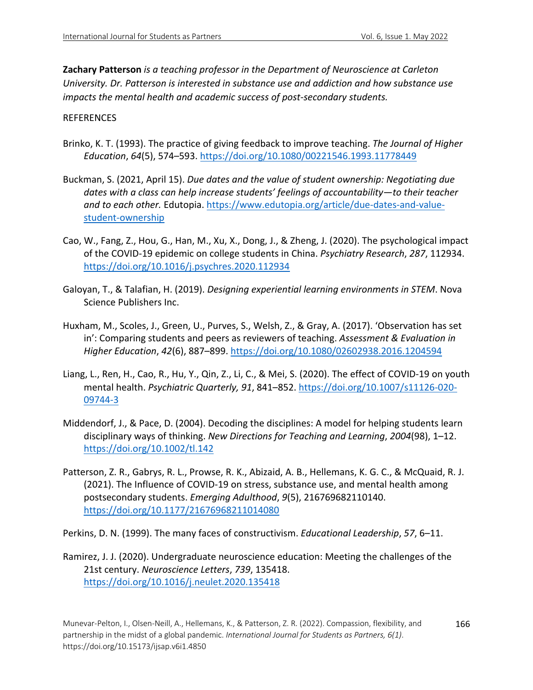**Zachary Patterson** *is a teaching professor in the Department of Neuroscience at Carleton University. Dr. Patterson is interested in substance use and addiction and how substance use impacts the mental health and academic success of post-secondary students.*

#### REFERENCES

- Brinko, K. T. (1993). The practice of giving feedback to improve teaching. *The Journal of Higher Education*, *64*(5), 574–593. https://doi.org/10.1080/00221546.1993.11778449
- Buckman, S. (2021, April 15). *Due dates and the value of student ownership: Negotiating due dates with a class can help increase students' feelings of accountability—to their teacher and to each other.* Edutopia. https://www.edutopia.org/article/due-dates-and-valuestudent-ownership
- Cao, W., Fang, Z., Hou, G., Han, M., Xu, X., Dong, J., & Zheng, J. (2020). The psychological impact of the COVID-19 epidemic on college students in China. *Psychiatry Research*, *287*, 112934. https://doi.org/10.1016/j.psychres.2020.112934
- Galoyan, T., & Talafian, H. (2019). *Designing experiential learning environments in STEM*. Nova Science Publishers Inc.
- Huxham, M., Scoles, J., Green, U., Purves, S., Welsh, Z., & Gray, A. (2017). 'Observation has set in': Comparing students and peers as reviewers of teaching. *Assessment & Evaluation in Higher Education*, *42*(6), 887–899. https://doi.org/10.1080/02602938.2016.1204594
- Liang, L., Ren, H., Cao, R., Hu, Y., Qin, Z., Li, C., & Mei, S. (2020). The effect of COVID-19 on youth mental health. *Psychiatric Quarterly, 91*, 841–852. https://doi.org/10.1007/s11126-020- 09744-3
- Middendorf, J., & Pace, D. (2004). Decoding the disciplines: A model for helping students learn disciplinary ways of thinking. *New Directions for Teaching and Learning*, *2004*(98), 1–12. https://doi.org/10.1002/tl.142
- Patterson, Z. R., Gabrys, R. L., Prowse, R. K., Abizaid, A. B., Hellemans, K. G. C., & McQuaid, R. J. (2021). The Influence of COVID-19 on stress, substance use, and mental health among postsecondary students. *Emerging Adulthood*, *9*(5), 216769682110140. https://doi.org/10.1177/21676968211014080

Perkins, D. N. (1999). The many faces of constructivism. *Educational Leadership*, *57*, 6–11.

Ramirez, J. J. (2020). Undergraduate neuroscience education: Meeting the challenges of the 21st century. *Neuroscience Letters*, *739*, 135418. https://doi.org/10.1016/j.neulet.2020.135418

166